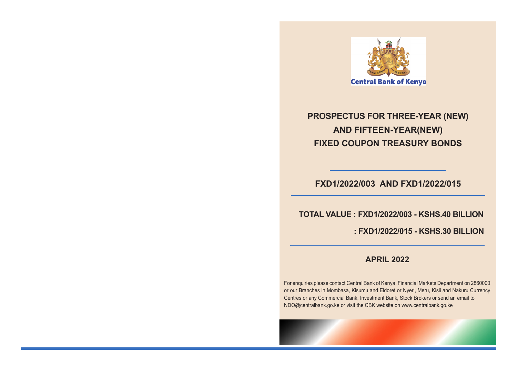

## **PROSPECTUS FOR THREE-YEAR (NEW) AND FIFTEEN-YEAR(NEW) FIXED COUPON TREASURY BONDS**

## **FXD1/2022/003 AND FXD1/2022/015**

 **TOTAL VALUE : FXD1/2022/003 - KSHS.40 BILLION**

 **: FXD1/2022/015 - KSHS.30 BILLION**

## **APRIL 2022**

For enquiries please contact Central Bank of Kenya, Financial Markets Department on 2860000 or our Branches in Mombasa, Kisumu and Eldoret or Nyeri, Meru, Kisii and Nakuru Currency Centres or any Commercial Bank, Investment Bank, Stock Brokers or send an email to NDO@centralbank.go.ke or visit the CBK website on www.centralbank.go.ke